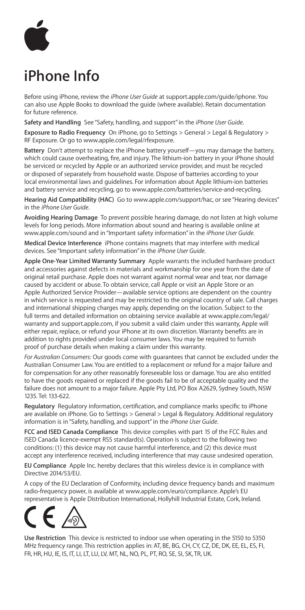

## **iPhone Info**

Before using iPhone, review the *iPhone User Guide* at <support.apple.com/guide/iphone>. You can also use Apple Books to download the guide (where available). Retain documentation for future reference.

**Safety and Handling**  See "Safety, handling, and support" in the *iPhone User Guide*.

**Exposure to Radio Frequency** On iPhone, go to Settings > General > Legal & Regulatory > RF Exposure. Or go to <www.apple.com/legal/rfexposure>.

**Battery**  Don't attempt to replace the iPhone battery yourself—you may damage the battery, which could cause overheating, fire, and injury. The lithium-ion battery in your iPhone should be serviced or recycled by Apple or an authorized service provider, and must be recycled or disposed of separately from household waste. Dispose of batteries according to your local environmental laws and guidelines. For information about Apple lithium-ion batteries and battery service and recycling, go to <www.apple.com/batteries/service-and-recycling>.

**Hearing Aid Compatibility (HAC)**  Go to <www.apple.com/support/hac>, or see "Hearing devices" in the *iPhone User Guide*.

**Avoiding Hearing Damage**  To prevent possible hearing damage, do not listen at high volume levels for long periods. More information about sound and hearing is available online at <www.apple.com/sound>and in "Important safety information" in the *iPhone User Guide*.

**Medical Device Interference**  iPhone contains magnets that may interfere with medical devices. See "Important safety information" in the *iPhone User Guide*.

**Apple One-Year Limited Warranty Summary**  Apple warrants the included hardware product and accessories against defects in materials and workmanship for one year from the date of original retail purchase. Apple does not warrant against normal wear and tear, nor damage caused by accident or abuse. To obtain service, call Apple or visit an Apple Store or an Apple Authorized Service Provider—available service options are dependent on the country in which service is requested and may be restricted to the original country of sale. Call charges and international shipping charges may apply, depending on the location. Subject to the full terms and detailed information on obtaining service available at [www.apple.com/legal/](www.apple.com/legal/warranty) [warranty](www.apple.com/legal/warranty) and <support.apple.com>, if you submit a valid claim under this warranty, Apple will either repair, replace, or refund your iPhone at its own discretion. Warranty benefits are in addition to rights provided under local consumer laws. You may be required to furnish proof of purchase details when making a claim under this warranty.

*For Australian Consumers:* Our goods come with guarantees that cannot be excluded under the Australian Consumer Law. You are entitled to a replacement or refund for a major failure and for compensation for any other reasonably foreseeable loss or damage. You are also entitled to have the goods repaired or replaced if the goods fail to be of acceptable quality and the failure does not amount to a major failure. Apple Pty Ltd, PO Box A2629, Sydney South, NSW 1235. Tel: 133-622.

**Regulatory**  Regulatory information, certification, and compliance marks specific to iPhone are available on iPhone. Go to Settings > General > Legal & Regulatory. Additional regulatory information is in "Safety, handling, and support" in the *iPhone User Guide*.

**FCC and ISED Canada Compliance** This device complies with part 15 of the FCC Rules and ISED Canada licence-exempt RSS standard(s). Operation is subject to the following two conditions: (1) this device may not cause harmful interference, and (2) this device must accept any interference received, including interference that may cause undesired operation.

**EU Compliance** Apple Inc. hereby declares that this wireless device is in compliance with Directive 2014/53/EU.

A copy of the EU Declaration of Conformity, including device frequency bands and maximum radio-frequency power, is available at <www.apple.com/euro/compliance>. Apple's EU representative is Apple Distribution International, Hollyhill Industrial Estate, Cork, Ireland.



**Use Restriction**  This device is restricted to indoor use when operating in the 5150 to 5350 MHz frequency range. This restriction applies in: AT, BE, BG, CH, CY, CZ, DE, DK, EE, EL, ES, FI, FR, HR, HU, IE, IS, IT, LI, LT, LU, LV, MT, NL, NO, PL, PT, RO, SE, SI, SK, TR, UK.